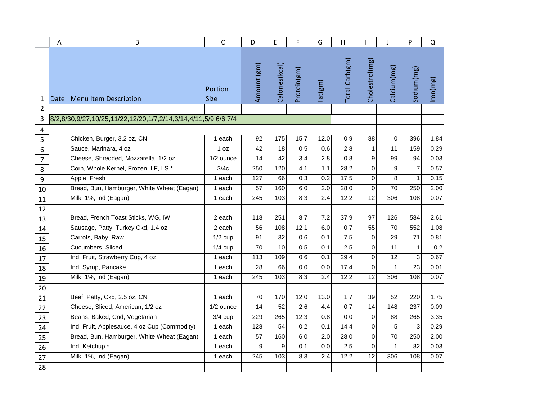|                | Α    | B                                                              | $\mathsf{C}$           | D               | E              | F           | G                | Η                |                 |                 | P               | Q        |
|----------------|------|----------------------------------------------------------------|------------------------|-----------------|----------------|-------------|------------------|------------------|-----------------|-----------------|-----------------|----------|
| 1              | Date | Menu Item Description                                          | Portion<br><b>Size</b> | Amount (gm)     | Calories(kcal) | Protein(gm) | Fat(gm)          | Total Carb(gm)   | Cholestrol(mg   | Calcium(mg)     | Sodium(mg)      | Iron(mg) |
| 2              |      |                                                                |                        |                 |                |             |                  |                  |                 |                 |                 |          |
| 3              |      | 8/2,8/30,9/27,10/25,11/22,12/20,1/7,2/14,3/14,4/11,5/9,6/6,7/4 |                        |                 |                |             |                  |                  |                 |                 |                 |          |
| 4<br>5         |      | Chicken, Burger, 3.2 oz, CN                                    | 1 each                 | 92              | 175            | 15.7        | 12.0             | 0.9              | 88              | $\mathbf 0$     | 396             | 1.84     |
| 6              |      | Sauce, Marinara, 4 oz                                          | 1 oz                   | 42              | 18             | 0.5         | 0.6              | 2.8              | $\mathbf{1}$    | 11              | 159             | 0.29     |
| $\overline{7}$ |      | Cheese, Shredded, Mozzarella, 1/2 oz                           | $\overline{1/2}$ ounce | 14              | 42             | 3.4         | 2.8              | 0.8              | 9               | 99              | 94              | 0.03     |
| 8              |      | Corn, Whole Kernel, Frozen, LF, LS*                            | 3/4c                   | 250             | 120            | 4.1         | 1.1              | 28.2             | $\Omega$        | 9               | $\overline{7}$  | 0.57     |
| 9              |      | Apple, Fresh                                                   | 1 each                 | 127             | 66             | 0.3         | 0.2              | 17.5             | $\Omega$        | 8               | $\mathbf{1}$    | 0.15     |
| 10             |      | Bread, Bun, Hamburger, White Wheat (Eagan)                     | 1 each                 | $\overline{57}$ | 160            | 6.0         | 2.0              | 28.0             | $\mathbf 0$     | $\overline{70}$ | 250             | 2.00     |
| 11             |      | Milk, 1%, Ind (Eagan)                                          | 1 each                 | 245             | 103            | 8.3         | 2.4              | 12.2             | 12              | 306             | 108             | 0.07     |
| 12             |      |                                                                |                        |                 |                |             |                  |                  |                 |                 |                 |          |
| 13             |      | Bread, French Toast Sticks, WG, IW                             | 2 each                 | 118             | 251            | 8.7         | 7.2              | 37.9             | 97              | 126             | 584             | 2.61     |
| 14             |      | Sausage, Patty, Turkey Ckd, 1.4 oz                             | 2 each                 | 56              | 108            | 12.1        | 6.0              | 0.7              | $\overline{55}$ | 70              | 552             | 1.08     |
| 15             |      | Carrots, Baby, Raw                                             | $1/2$ cup              | 91              | 32             | 0.6         | 0.1              | 7.5              | 0               | 29              | $\overline{71}$ | 0.81     |
| 16             |      | Cucumbers, Sliced                                              | $1/4$ cup              | 70              | 10             | 0.5         | 0.1              | $\overline{2.5}$ | $\Omega$        | 11              | $\mathbf{1}$    | 0.2      |
| 17             |      | Ind, Fruit, Strawberry Cup, 4 oz                               | 1 each                 | 113             | 109            | 0.6         | 0.1              | 29.4             | $\mathbf 0$     | 12              | 3               | 0.67     |
| 18             |      | Ind, Syrup, Pancake                                            | 1 each                 | 28              | 66             | 0.0         | 0.0              | 17.4             | $\Omega$        | $\mathbf{1}$    | $\overline{23}$ | 0.01     |
| 19             |      | Milk, 1%, Ind (Eagan)                                          | 1 each                 | 245             | 103            | 8.3         | 2.4              | 12.2             | 12              | 306             | 108             | 0.07     |
| 20             |      |                                                                |                        |                 |                |             |                  |                  |                 |                 |                 |          |
| 21             |      | Beef, Patty, Ckd, 2.5 oz, CN                                   | 1 each                 | 70              | 170            | 12.0        | 13.0             | 1.7              | 39              | 52              | 220             | 1.75     |
| 22             |      | Cheese, Sliced, American, 1/2 oz                               | 1/2 ounce              | 14              | 52             | 2.6         | 4.4              | 0.7              | 14              | 148             | 237             | 0.09     |
| 23             |      | Beans, Baked, Cnd, Vegetarian                                  | $3/4$ cup              | 229             | 265            | 12.3        | 0.8              | 0.0              | $\Omega$        | 88              | 265             | 3.35     |
| 24             |      | Ind, Fruit, Applesauce, 4 oz Cup (Commodity)                   | 1 each                 | 128             | 54             | 0.2         | 0.1              | 14.4             | 0               | 5               | 3               | 0.29     |
| 25             |      | Bread, Bun, Hamburger, White Wheat (Eagan)                     | 1 each                 | 57              | 160            | 6.0         | $\overline{2.0}$ | 28.0             | $\mathbf 0$     | $\overline{70}$ | 250             | 2.00     |
| 26             |      | Ind, Ketchup *                                                 | 1 each                 | 9               | 9              | 0.1         | 0.0              | 2.5              | $\Omega$        | $\mathbf{1}$    | 82              | 0.03     |
| 27             |      | Milk, 1%, Ind (Eagan)                                          | 1 each                 | 245             | 103            | 8.3         | 2.4              | 12.2             | 12              | 306             | 108             | 0.07     |
| 28             |      |                                                                |                        |                 |                |             |                  |                  |                 |                 |                 |          |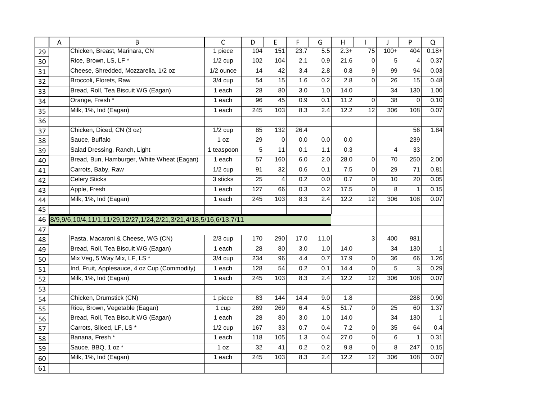|    | A | B                                                                | C          | D               | E              | F                | G                | н                 |                 | J               | P                | Q            |
|----|---|------------------------------------------------------------------|------------|-----------------|----------------|------------------|------------------|-------------------|-----------------|-----------------|------------------|--------------|
| 29 |   | Chicken, Breast, Marinara, CN                                    | 1 piece    | 104             | 151            | 23.7             | $\overline{5.5}$ | $2.3+$            | $\overline{75}$ | $100+$          | 404              | $0.18 +$     |
| 30 |   | Rice, Brown, LS, LF*                                             | $1/2$ cup  | 102             | 104            | 2.1              | 0.9              | 21.6              | $\mathbf 0$     | 5               | 4                | 0.37         |
| 31 |   | Cheese, Shredded, Mozzarella, 1/2 oz                             | 1/2 ounce  | 14              | 42             | 3.4              | 2.8              | 0.8               | 9               | 99              | 94               | 0.03         |
| 32 |   | Broccoli, Florets, Raw                                           | $3/4$ cup  | 54              | 15             | 1.6              | 0.2              | 2.8               | $\Omega$        | 26              | 15               | 0.48         |
| 33 |   | Bread, Roll, Tea Biscuit WG (Eagan)                              | 1 each     | 28              | 80             | $\overline{3.0}$ | 1.0              | $\overline{14.0}$ |                 | $\overline{34}$ | 130              | 1.00         |
| 34 |   | Orange, Fresh *                                                  | 1 each     | 96              | 45             | 0.9              | 0.1              | 11.2              | 0               | 38              | $\Omega$         | 0.10         |
| 35 |   | Milk, 1%, Ind (Eagan)                                            | 1 each     | 245             | 103            | 8.3              | 2.4              | 12.2              | 12              | 306             | 108              | 0.07         |
| 36 |   |                                                                  |            |                 |                |                  |                  |                   |                 |                 |                  |              |
| 37 |   | Chicken, Diced, CN (3 oz)                                        | $1/2$ cup  | 85              | 132            | 26.4             |                  |                   |                 |                 | 56               | 1.84         |
| 38 |   | Sauce, Buffalo                                                   | 1 oz       | 29              | $\overline{0}$ | 0.0              | 0.0              | 0.0               |                 |                 | 239              |              |
| 39 |   | Salad Dressing, Ranch, Light                                     | 1 teaspoon | 5               | 11             | 0.1              | 1.1              | 0.3               |                 | $\overline{4}$  | 33               |              |
| 40 |   | Bread, Bun, Hamburger, White Wheat (Eagan)                       | 1 each     | 57              | 160            | 6.0              | 2.0              | 28.0              | 0               | 70              | 250              | 2.00         |
| 41 |   | Carrots, Baby, Raw                                               | $1/2$ cup  | 91              | 32             | 0.6              | 0.1              | 7.5               | 0               | 29              | 71               | 0.81         |
| 42 |   | <b>Celery Sticks</b>                                             | 3 sticks   | 25              | $\overline{4}$ | 0.2              | 0.0              | 0.7               | 0               | 10              | 20               | 0.05         |
| 43 |   | Apple, Fresh                                                     | 1 each     | 127             | 66             | 0.3              | 0.2              | 17.5              | 0               | 8               | 1                | 0.15         |
| 44 |   | Milk, 1%, Ind (Eagan)                                            | 1 each     | 245             | 103            | 8.3              | 2.4              | 12.2              | $\overline{12}$ | 306             | 108              | 0.07         |
| 45 |   |                                                                  |            |                 |                |                  |                  |                   |                 |                 |                  |              |
| 46 |   | 8/9,9/6,10/4,11/1,11/29,12/27,1/24,2/21,3/21,4/18,5/16,6/13,7/11 |            |                 |                |                  |                  |                   |                 |                 |                  |              |
| 47 |   |                                                                  |            |                 |                |                  |                  |                   |                 |                 |                  |              |
| 48 |   | Pasta, Macaroni & Cheese, WG (CN)                                | $2/3$ cup  | 170             | 290            | 17.0             | 11.0             |                   | 3               | 400             | 981              |              |
| 49 |   | Bread, Roll, Tea Biscuit WG (Eagan)                              | 1 each     | 28              | 80             | 3.0              | 1.0              | 14.0              |                 | 34              | 130              | 1            |
| 50 |   | Mix Veg, 5 Way Mix, LF, LS *                                     | $3/4$ cup  | 234             | 96             | 4.4              | 0.7              | 17.9              | 0               | 36              | 66               | 1.26         |
| 51 |   | Ind, Fruit, Applesauce, 4 oz Cup (Commodity)                     | 1 each     | 128             | 54             | $\overline{0.2}$ | 0.1              | 14.4              | 0               | $\overline{5}$  | 3                | 0.29         |
| 52 |   | Milk, 1%, Ind (Eagan)                                            | 1 each     | 245             | 103            | 8.3              | 2.4              | 12.2              | $\overline{12}$ | 306             | 108              | 0.07         |
| 53 |   |                                                                  |            |                 |                |                  |                  |                   |                 |                 |                  |              |
| 54 |   | Chicken, Drumstick (CN)                                          | 1 piece    | 83              | 144            | 14.4             | 9.0              | 1.8               |                 |                 | 288              | 0.90         |
| 55 |   | Rice, Brown, Vegetable (Eagan)                                   | 1 cup      | 269             | 269            | 6.4              | 4.5              | 51.7              | $\Omega$        | 25              | 60               | 1.37         |
| 56 |   | Bread, Roll, Tea Biscuit WG (Eagan)                              | 1 each     | 28              | 80             | 3.0              | 1.0              | 14.0              |                 | 34              | 130              | $\mathbf{1}$ |
| 57 |   | Carrots, Sliced, LF, LS*                                         | $1/2$ cup  | 167             | 33             | 0.7              | 0.4              | 7.2               | 0               | 35              | 64               | 0.4          |
| 58 |   | Banana, Fresh *                                                  | 1 each     | 118             | 105            | 1.3              | 0.4              | 27.0              | $\Omega$        | 6               | 1                | 0.31         |
| 59 |   | Sauce, BBQ, 1 oz *                                               | 1 oz       | $\overline{32}$ | 41             | $\overline{0.2}$ | $\overline{0.2}$ | 9.8               | 0               | 8               | $\overline{247}$ | 0.15         |
| 60 |   | Milk, 1%, Ind (Eagan)                                            | 1 each     | 245             | 103            | 8.3              | 2.4              | 12.2              | 12              | 306             | 108              | 0.07         |
| 61 |   |                                                                  |            |                 |                |                  |                  |                   |                 |                 |                  |              |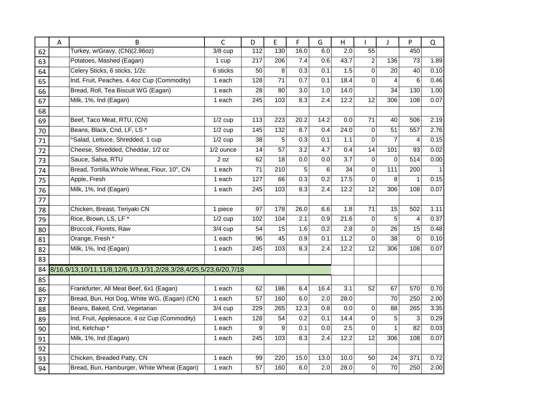|    | А | B                                                                | $\mathsf{C}$         | D                | E                | F    | G    | Η                |                | J               | P              | Q    |
|----|---|------------------------------------------------------------------|----------------------|------------------|------------------|------|------|------------------|----------------|-----------------|----------------|------|
| 62 |   | Turkey, w/Gravy, (CN)(2.96oz)                                    | $3/8$ cup            | 112              | 130              | 16.0 | 6.0  | 2.0              | 55             |                 | 450            |      |
| 63 |   | Potatoes, Mashed (Eagan)                                         | 1 cup                | 217              | 206              | 7.4  | 0.6  | 43.7             | $\overline{c}$ | 136             | 73             | 1.89 |
| 64 |   | Celery Sticks, 6 sticks, 1/2c                                    | 6 sticks             | 50               | 8                | 0.3  | 0.1  | 1.5              | 0              | 20              | 40             | 0.10 |
| 65 |   | Ind, Fruit, Peaches, 4.4oz Cup (Commodity)                       | 1 each               | 128              | 71               | 0.7  | 0.1  | 18.4             | 0              | $\overline{4}$  | 6              | 0.46 |
| 66 |   | Bread, Roll, Tea Biscuit WG (Eagan)                              | 1 each               | 28               | 80               | 3.0  | 1.0  | 14.0             |                | $\overline{34}$ | 130            | 1.00 |
| 67 |   | Milk, 1%, Ind (Eagan)                                            | 1 each               | 245              | 103              | 8.3  | 2.4  | 12.2             | 12             | 306             | 108            | 0.07 |
| 68 |   |                                                                  |                      |                  |                  |      |      |                  |                |                 |                |      |
| 69 |   | Beef, Taco Meat, RTU, (CN)                                       | $\overline{1/2}$ cup | 113              | 223              | 20.2 | 14.2 | 0.0              | 71             | 40              | 506            | 2.19 |
| 70 |   | Beans, Black, Cnd, LF, LS*                                       | $1/2$ cup            | $\overline{145}$ | $\overline{132}$ | 8.7  | 0.4  | 24.0             | $\mathbf 0$    | 51              | 557            | 2.76 |
| 71 |   | ^Salad, Lettuce, Shredded, 1 cup                                 | $1/2$ cup            | 38               | 5                | 0.3  | 0.1  | 1.1              | 0              | $\overline{7}$  | $\overline{4}$ | 0.15 |
| 72 |   | Cheese, Shredded, Cheddar, 1/2 oz                                | 1/2 ounce            | 14               | 57               | 3.2  | 4.7  | 0.4              | 14             | 101             | 93             | 0.02 |
| 73 |   | Sauce, Salsa, RTU                                                | 2 oz                 | 62               | 18               | 0.0  | 0.0  | 3.7              | $\Omega$       | $\Omega$        | 514            | 0.00 |
| 74 |   | Bread, Tortilla, Whole Wheat, Flour, 10", CN                     | 1 each               | 71               | 210              | 5    | 6    | $\overline{34}$  | 0              | 111             | 200            |      |
| 75 |   | Apple, Fresh                                                     | 1 each               | 127              | 66               | 0.3  | 0.2  | 17.5             | 0              | 8               |                | 0.15 |
| 76 |   | Milk, 1%, Ind (Eagan)                                            | 1 each               | 245              | 103              | 8.3  | 2.4  | 12.2             | 12             | 306             | 108            | 0.07 |
| 77 |   |                                                                  |                      |                  |                  |      |      |                  |                |                 |                |      |
| 78 |   | Chicken, Breast, Teriyaki CN                                     | 1 piece              | 97               | 178              | 26.0 | 6.6  | 1.8              | 71             | 15              | 502            | 1.11 |
| 79 |   | Rice, Brown, LS, LF*                                             | $1/2$ cup            | 102              | 104              | 2.1  | 0.9  | 21.6             | $\mathbf 0$    | 5               | $\overline{4}$ | 0.37 |
| 80 |   | Broccoli, Florets, Raw                                           | $3/4$ cup            | 54               | 15               | 1.6  | 0.2  | 2.8              | $\mathbf 0$    | 26              | 15             | 0.48 |
| 81 |   | Orange, Fresh *                                                  | 1 each               | 96               | 45               | 0.9  | 0.1  | 11.2             | 0              | 38              | $\Omega$       | 0.10 |
| 82 |   | Milk, 1%, Ind (Eagan)                                            | 1 each               | 245              | 103              | 8.3  | 2.4  | 12.2             | 12             | 306             | 108            | 0.07 |
| 83 |   |                                                                  |                      |                  |                  |      |      |                  |                |                 |                |      |
| 84 |   | 8/16,9/13,10/11,11/8,12/6,1/3,1/31,2/28,3/28,4/25,5/23,6/20,7/18 |                      |                  |                  |      |      |                  |                |                 |                |      |
| 85 |   |                                                                  |                      |                  |                  |      |      |                  |                |                 |                |      |
| 86 |   | Frankfurter, All Meat Beef, 6x1 (Eagan)                          | 1 each               | 62               | 186              | 6.4  | 16.4 | 3.1              | 52             | 67              | 570            | 0.70 |
| 87 |   | Bread, Bun, Hot Dog, White WG, (Eagan) (CN)                      | 1 each               | 57               | 160              | 6.0  | 2.0  | 28.0             |                | 70              | 250            | 2.00 |
| 88 |   | Beans, Baked, Cnd, Vegetarian                                    | $\overline{3}/4$ cup | 229              | 265              | 12.3 | 0.8  | $\overline{0.0}$ | 0              | 88              | 265            | 3.35 |
| 89 |   | Ind, Fruit, Applesauce, 4 oz Cup (Commodity)                     | 1 each               | 128              | 54               | 0.2  | 0.1  | 14.4             | 0              | 5               | 3              | 0.29 |
| 90 |   | Ind, Ketchup *                                                   | 1 each               | 9                | 9                | 0.1  | 0.0  | 2.5              | $\Omega$       | $\mathbf{1}$    | 82             | 0.03 |
| 91 |   | Milk, 1%, Ind (Eagan)                                            | 1 each               | 245              | 103              | 8.3  | 2.4  | 12.2             | 12             | 306             | 108            | 0.07 |
| 92 |   |                                                                  |                      |                  |                  |      |      |                  |                |                 |                |      |
| 93 |   | Chicken, Breaded Patty, CN                                       | 1 each               | 99               | 220              | 15.0 | 13.0 | 10.0             | 50             | 24              | 371            | 0.72 |
| 94 |   | Bread, Bun, Hamburger, White Wheat (Eagan)                       | 1 each               | 57               | 160              | 6.0  | 2.0  | 28.0             | $\mathbf 0$    | 70              | 250            | 2.00 |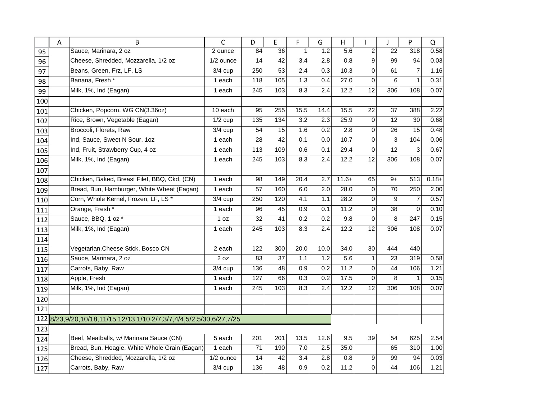|     | A | B                                                               | $\mathsf{C}$         | D               | E               | F                | G                | H                 |                 | J               | P                | $\Omega$ |
|-----|---|-----------------------------------------------------------------|----------------------|-----------------|-----------------|------------------|------------------|-------------------|-----------------|-----------------|------------------|----------|
| 95  |   | Sauce, Marinara, 2 oz                                           | 2 ounce              | 84              | $\overline{36}$ | 1                | 1.2              | 5.6               | $\overline{c}$  | 22              | $\overline{318}$ | 0.58     |
| 96  |   | Cheese, Shredded, Mozzarella, 1/2 oz                            | 1/2 ounce            | 14              | $\overline{42}$ | 3.4              | $\overline{2.8}$ | 0.8               | 9               | 99              | 94               | 0.03     |
| 97  |   | Beans, Green, Frz, LF, LS                                       | $3/4$ cup            | 250             | 53              | 2.4              | 0.3              | 10.3              | 0               | 61              | $\overline{7}$   | 1.16     |
| 98  |   | Banana, Fresh *                                                 | 1 each               | 118             | 105             | 1.3              | 0.4              | 27.0              | $\mathbf 0$     | 6               | 1                | 0.31     |
| 99  |   | Milk, 1%, Ind (Eagan)                                           | 1 each               | 245             | 103             | 8.3              | 2.4              | 12.2              | $\overline{12}$ | 306             | 108              | 0.07     |
| 100 |   |                                                                 |                      |                 |                 |                  |                  |                   |                 |                 |                  |          |
| 101 |   | Chicken, Popcorn, WG CN(3.36oz)                                 | 10 each              | 95              | 255             | 15.5             | 14.4             | 15.5              | 22              | 37              | 388              | 2.22     |
| 102 |   | Rice, Brown, Vegetable (Eagan)                                  | $\overline{1/2}$ cup | $\frac{135}{1}$ | 134             | $\overline{3.2}$ | 2.3              | 25.9              | $\mathbf 0$     | $\overline{12}$ | 30               | 0.68     |
| 103 |   | Broccoli, Florets, Raw                                          | $3/4$ cup            | 54              | 15              | 1.6              | 0.2              | 2.8               | 0               | 26              | 15               | 0.48     |
| 104 |   | Ind, Sauce, Sweet N Sour, 1oz                                   | 1 each               | 28              | 42              | 0.1              | 0.0              | 10.7              | 0               | $\mathbf{3}$    | 104              | 0.06     |
| 105 |   | Ind, Fruit, Strawberry Cup, 4 oz                                | 1 each               | 113             | 109             | 0.6              | 0.1              | 29.4              | 0               | 12              | 3                | 0.67     |
| 106 |   | Milk, 1%, Ind (Eagan)                                           | 1 each               | 245             | 103             | 8.3              | 2.4              | 12.2              | $\overline{12}$ | 306             | 108              | 0.07     |
| 107 |   |                                                                 |                      |                 |                 |                  |                  |                   |                 |                 |                  |          |
| 108 |   | Chicken, Baked, Breast Filet, BBQ, Ckd, (CN)                    | 1 each               | 98              | 149             | 20.4             | 2.7              | $11.6+$           | 65              | $9+$            | 513              | $0.18 +$ |
| 109 |   | Bread, Bun, Hamburger, White Wheat (Eagan)                      | 1 each               | 57              | 160             | 6.0              | 2.0              | 28.0              | $\mathbf 0$     | 70              | 250              | 2.00     |
| 110 |   | Corn, Whole Kernel, Frozen, LF, LS*                             | $\overline{3}/4$ cup | 250             | 120             | 4.1              | 1.1              | 28.2              | 0               | 9               | 7                | 0.57     |
| 111 |   | Orange, Fresh *                                                 | 1 each               | 96              | 45              | 0.9              | 0.1              | 11.2              | 0               | 38              | $\Omega$         | 0.10     |
| 112 |   | Sauce, BBQ, 1 oz *                                              | 1 oz                 | 32              | 41              | 0.2              | 0.2              | 9.8               | 0               | 8               | 247              | 0.15     |
| 113 |   | Milk, 1%, Ind (Eagan)                                           | 1 each               | 245             | 103             | 8.3              | 2.4              | 12.2              | 12              | 306             | 108              | 0.07     |
| 114 |   |                                                                 |                      |                 |                 |                  |                  |                   |                 |                 |                  |          |
| 115 |   | Vegetarian. Cheese Stick, Bosco CN                              | 2 each               | 122             | 300             | 20.0             | 10.0             | 34.0              | 30              | 444             | 440              |          |
| 116 |   | Sauce, Marinara, 2 oz                                           | 2 oz                 | 83              | 37              | 1.1              | 1.2              | 5.6               | $\mathbf{1}$    | 23              | 319              | 0.58     |
| 117 |   | Carrots, Baby, Raw                                              | $3/4$ cup            | 136             | 48              | 0.9              | $\overline{0.2}$ | $\overline{11.2}$ | 0               | 44              | 106              | 1.21     |
| 118 |   | Apple, Fresh                                                    | 1 each               | 127             | 66              | 0.3              | 0.2              | 17.5              | $\Omega$        | 8               | $\mathbf{1}$     | 0.15     |
| 119 |   | Milk, 1%, Ind (Eagan)                                           | 1 each               | 245             | 103             | 8.3              | 2.4              | 12.2              | 12              | 306             | 108              | 0.07     |
| 120 |   |                                                                 |                      |                 |                 |                  |                  |                   |                 |                 |                  |          |
| 121 |   |                                                                 |                      |                 |                 |                  |                  |                   |                 |                 |                  |          |
| 122 |   | 8/23,9/20,10/18,11/15,12/13,1/10,2/7,3/7,4/4,5/2,5/30,6/27,7/25 |                      |                 |                 |                  |                  |                   |                 |                 |                  |          |
| 123 |   |                                                                 |                      |                 |                 |                  |                  |                   |                 |                 |                  |          |
| 124 |   | Beef, Meatballs, w/ Marinara Sauce (CN)                         | 5 each               | 201             | 201             | 13.5             | 12.6             | 9.5               | 39              | 54              | 625              | 2.54     |
| 125 |   | Bread, Bun, Hoagie, White Whole Grain (Eagan)                   | 1 each               | 71              | 190             | 7.0              | 2.5              | 35.0              |                 | 65              | 310              | 1.00     |
| 126 |   | Cheese, Shredded, Mozzarella, 1/2 oz                            | 1/2 ounce            | 14              | 42              | 3.4              | 2.8              | 0.8               | 9               | 99              | 94               | 0.03     |
| 127 |   | Carrots, Baby, Raw                                              | $3/4$ cup            | 136             | 48              | 0.9              | 0.2              | 11.2              | 0               | 44              | 106              | 1.21     |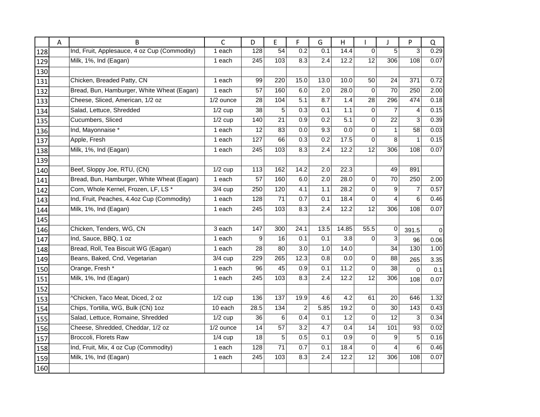|     | А | B                                            | C                    | D               | E               | F                | G    | Η     |                 | J                      | P                | Q        |
|-----|---|----------------------------------------------|----------------------|-----------------|-----------------|------------------|------|-------|-----------------|------------------------|------------------|----------|
| 128 |   | Ind, Fruit, Applesauce, 4 oz Cup (Commodity) | 1 each               | 128             | 54              | 0.2              | 0.1  | 14.4  | $\Omega$        | 5                      | 3                | 0.29     |
| 129 |   | Milk, 1%, Ind (Eagan)                        | 1 each               | 245             | 103             | 8.3              | 2.4  | 12.2  | $\overline{12}$ | 306                    | 108              | 0.07     |
| 130 |   |                                              |                      |                 |                 |                  |      |       |                 |                        |                  |          |
| 131 |   | Chicken, Breaded Patty, CN                   | 1 each               | 99              | 220             | 15.0             | 13.0 | 10.0  | 50              | 24                     | 371              | 0.72     |
| 132 |   | Bread, Bun, Hamburger, White Wheat (Eagan)   | 1 each               | $\overline{57}$ | 160             | 6.0              | 2.0  | 28.0  | $\mathbf 0$     | $\overline{70}$        | 250              | 2.00     |
| 133 |   | Cheese, Sliced, American, 1/2 oz             | 1/2 ounce            | 28              | 104             | 5.1              | 8.7  | 1.4   | 28              | 296                    | 474              | 0.18     |
| 134 |   | Salad, Lettuce, Shredded                     | $1/2$ cup            | 38              | 5               | 0.3              | 0.1  | 1.1   | $\mathbf 0$     | $\overline{7}$         | 4                | 0.15     |
| 135 |   | Cucumbers, Sliced                            | $1/2$ cup            | 140             | 21              | 0.9              | 0.2  | 5.1   | $\overline{0}$  | 22                     | 3                | 0.39     |
| 136 |   | Ind, Mayonnaise *                            | 1 each               | 12              | 83              | 0.0              | 9.3  | 0.0   | 0               | $\mathbf{1}$           | 58               | 0.03     |
| 137 |   | Apple, Fresh                                 | 1 each               | 127             | 66              | 0.3              | 0.2  | 17.5  | 0               | 8                      | 1                | 0.15     |
| 138 |   | Milk, 1%, Ind (Eagan)                        | 1 each               | 245             | 103             | 8.3              | 2.4  | 12.2  | 12              | 306                    | 108              | 0.07     |
| 139 |   |                                              |                      |                 |                 |                  |      |       |                 |                        |                  |          |
| 140 |   | Beef, Sloppy Joe, RTU, (CN)                  | $\overline{1/2}$ cup | 113             | 162             | 14.2             | 2.0  | 22.3  |                 | 49                     | 891              |          |
| 141 |   | Bread, Bun, Hamburger, White Wheat (Eagan)   | 1 each               | 57              | 160             | 6.0              | 2.0  | 28.0  | 0               | 70                     | 250              | 2.00     |
| 142 |   | Corn, Whole Kernel, Frozen, LF, LS*          | $3/4$ cup            | 250             | 120             | 4.1              | 1.1  | 28.2  | 0               | 9                      | 7                | 0.57     |
| 143 |   | Ind, Fruit, Peaches, 4.4oz Cup (Commodity)   | 1 each               | 128             | 71              | 0.7              | 0.1  | 18.4  | 0               | $\overline{4}$         | 6                | 0.46     |
| 144 |   | Milk, 1%, Ind (Eagan)                        | 1 each               | 245             | 103             | 8.3              | 2.4  | 12.2  | 12              | 306                    | 108              | 0.07     |
| 145 |   |                                              |                      |                 |                 |                  |      |       |                 |                        |                  |          |
| 146 |   | Chicken, Tenders, WG, CN                     | 3 each               | 147             | 300             | 24.1             | 13.5 | 14.85 | 55.5            | $\mathbf 0$            | 391.5            | $\Omega$ |
| 147 |   | Ind, Sauce, BBQ, 1 oz                        | 1 each               | 9               | 16              | 0.1              | 0.1  | 3.8   | 0               | 3                      | 96               | 0.06     |
| 148 |   | Bread, Roll, Tea Biscuit WG (Eagan)          | 1 each               | 28              | 80              | $\overline{3.0}$ | 1.0  | 14.0  |                 | 34                     | 130              | 1.00     |
| 149 |   | Beans, Baked, Cnd, Vegetarian                | $3/4$ cup            | 229             | 265             | 12.3             | 0.8  | 0.0   | 0               | 88                     | 265              | 3.35     |
| 150 |   | Orange, Fresh *                              | 1 each               | 96              | 45              | 0.9              | 0.1  | 11.2  | 0               | 38                     | $\Omega$         | 0.1      |
| 151 |   | Milk, 1%, Ind (Eagan)                        | 1 each               | 245             | 103             | 8.3              | 2.4  | 12.2  | 12              | 306                    | 108              | 0.07     |
| 152 |   |                                              |                      |                 |                 |                  |      |       |                 |                        |                  |          |
| 153 |   | ^Chicken, Taco Meat, Diced, 2 oz             | $1/2$ cup            | 136             | 137             | 19.9             | 4.6  | 4.2   | 61              | 20                     | 646              | 1.32     |
| 154 |   | Chips, Tortilla, WG, Bulk (CN) 1oz           | 10 each              | 28.5            | $\frac{1}{134}$ | $\overline{2}$   | 5.85 | 19.2  | $\mathbf 0$     | $\overline{30}$        | $\overline{143}$ | 0.43     |
| 155 |   | Salad, Lettuce, Romaine, Shredded            | $1/2$ cup            | 36              | 6               | 0.4              | 0.1  | 1.2   | $\mathbf 0$     | 12                     | 3                | 0.34     |
| 156 |   | Cheese, Shredded, Cheddar, 1/2 oz            | $1/2$ ounce          | 14              | 57              | 3.2              | 4.7  | 0.4   | 14              | 101                    | 93               | 0.02     |
| 157 |   | Broccoli, Florets Raw                        | $1/4$ cup            | 18              | 5               | 0.5              | 0.1  | 0.9   | 0               | 9                      | 5                | 0.16     |
| 158 |   | Ind, Fruit, Mix, 4 oz Cup (Commodity)        | 1 each               | 128             | $\overline{71}$ | 0.7              | 0.1  | 18.4  | 0               | $\boldsymbol{\Lambda}$ | 6                | 0.46     |
| 159 |   | Milk, 1%, Ind (Eagan)                        | 1 each               | 245             | 103             | 8.3              | 2.4  | 12.2  | 12              | 306                    | 108              | 0.07     |
| 160 |   |                                              |                      |                 |                 |                  |      |       |                 |                        |                  |          |